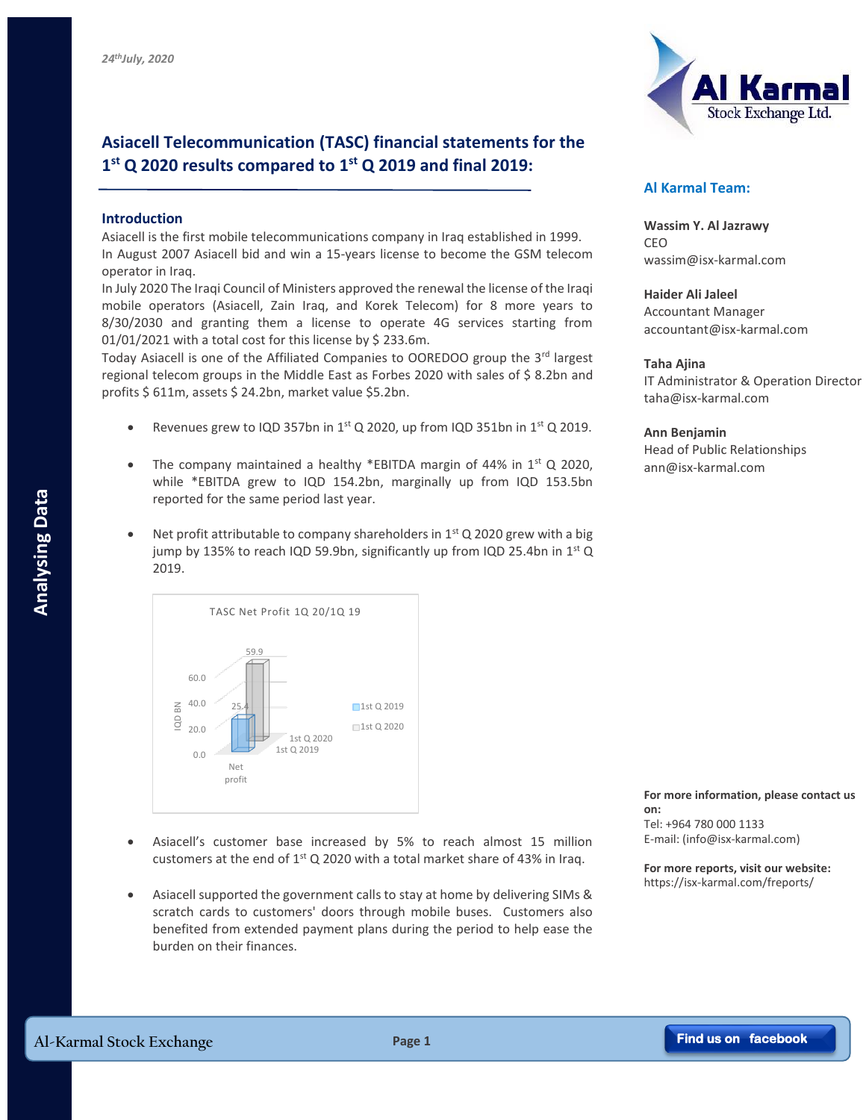# **Asiacell Telecommunication (TASC) financial statements for the 1 st Q 2020 results compared to 1 st Q 2019 and final 2019:**

## **Introduction**

Asiacell is the first mobile telecommunications company in Iraq established in 1999. In August 2007 Asiacell bid and win a 15-years license to become the GSM telecom operator in Iraq.

In July 2020 The Iraqi Council of Ministers approved the renewal the license of the Iraqi mobile operators (Asiacell, Zain Iraq, and Korek Telecom) for 8 more years to 8/30/2030 and granting them a license to operate 4G services starting from 01/01/2021 with a total cost for this license by \$ 233.6m.

Today Asiacell is one of the Affiliated Companies to OOREDOO group the 3<sup>rd</sup> largest regional telecom groups in the Middle East as Forbes 2020 with sales of \$ 8.2bn and profits \$ 611m, assets \$ 24.2bn, market value \$5.2bn.

- Revenues grew to IQD 357bn in  $1<sup>st</sup>$  Q 2020, up from IQD 351bn in  $1<sup>st</sup>$  Q 2019.
- The company maintained a healthy \*EBITDA margin of 44% in  $1<sup>st</sup>$  Q 2020, while \*EBITDA grew to IQD 154.2bn, marginally up from IQD 153.5bn reported for the same period last year.
- Net profit attributable to company shareholders in  $1<sup>st</sup>$  Q 2020 grew with a big jump by 135% to reach IQD 59.9bn, significantly up from IQD 25.4bn in  $1^{st}$  Q 2019.



- Asiacell's customer base increased by 5% to reach almost 15 million customers at the end of  $1<sup>st</sup>$  Q 2020 with a total market share of 43% in Irag.
- Asiacell supported the government calls to stay at home by delivering SIMs & scratch cards to customers' doors through mobile buses. Customers also benefited from extended payment plans during the period to help ease the burden on their finances.



## **Al Karmal Team:**

**Wassim Y. Al Jazrawy** CEO wassim@isx-karmal.com

**Haider Ali Jaleel** Accountant Manager accountant@isx-karmal.com

### **Taha Ajina**

IT Administrator & Operation Director taha@isx-karmal.com

**Ann Benjamin** Head of Public Relationships ann@isx-karmal.com

#### **For more information, please contact us on:**

Tel: +964 780 000 1133 E-mail: (info@isx-karmal.com)

**For more reports, visit our website:** https://isx-karmal.com/freports/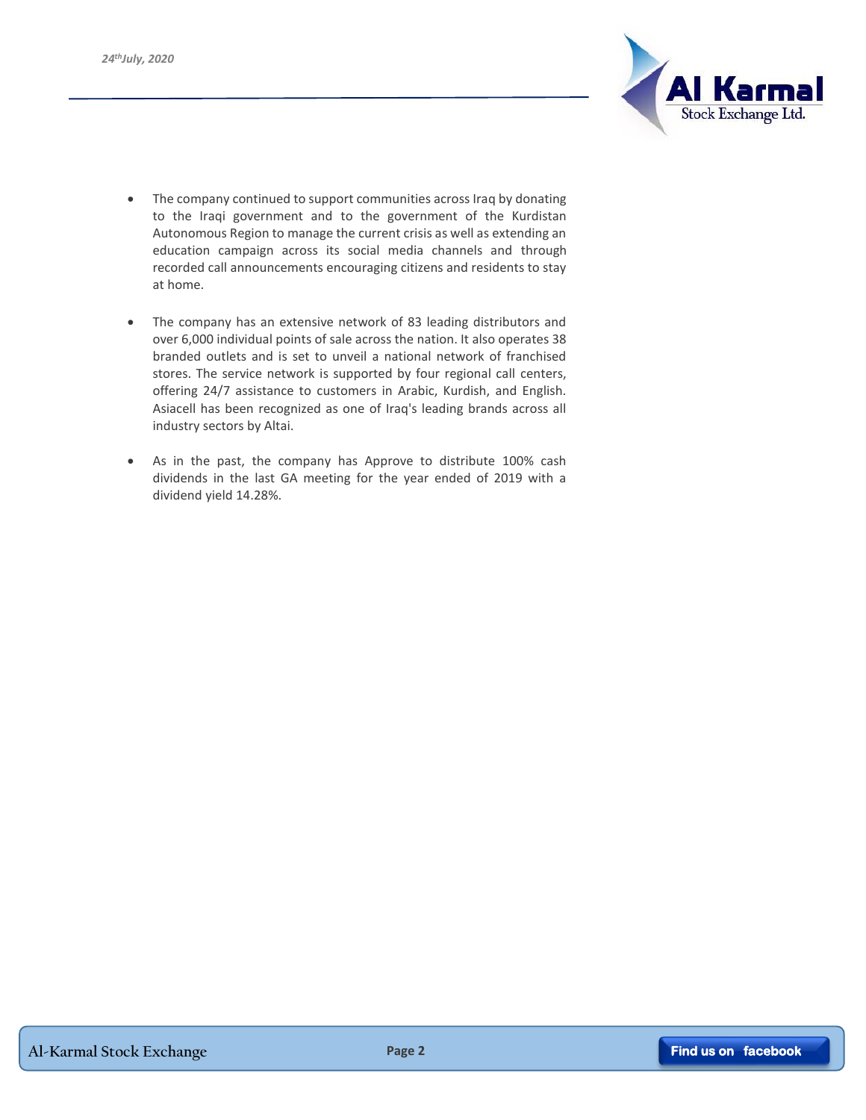

- The company continued to support communities across Iraq by donating to the Iraqi government and to the government of the Kurdistan Autonomous Region to manage the current crisis as well as extending an education campaign across its social media channels and through recorded call announcements encouraging citizens and residents to stay at home.
- The company has an extensive network of 83 leading distributors and over 6,000 individual points of sale across the nation. It also operates 38 branded outlets and is set to unveil a national network of franchised stores. The service network is supported by four regional call centers, offering 24/7 assistance to customers in Arabic, Kurdish, and English. Asiacell has been recognized as one of Iraq's leading brands across all industry sectors by Altai.
- As in the past, the company has Approve to distribute 100% cash dividends in the last GA meeting for the year ended of 2019 with a dividend yield 14.28%.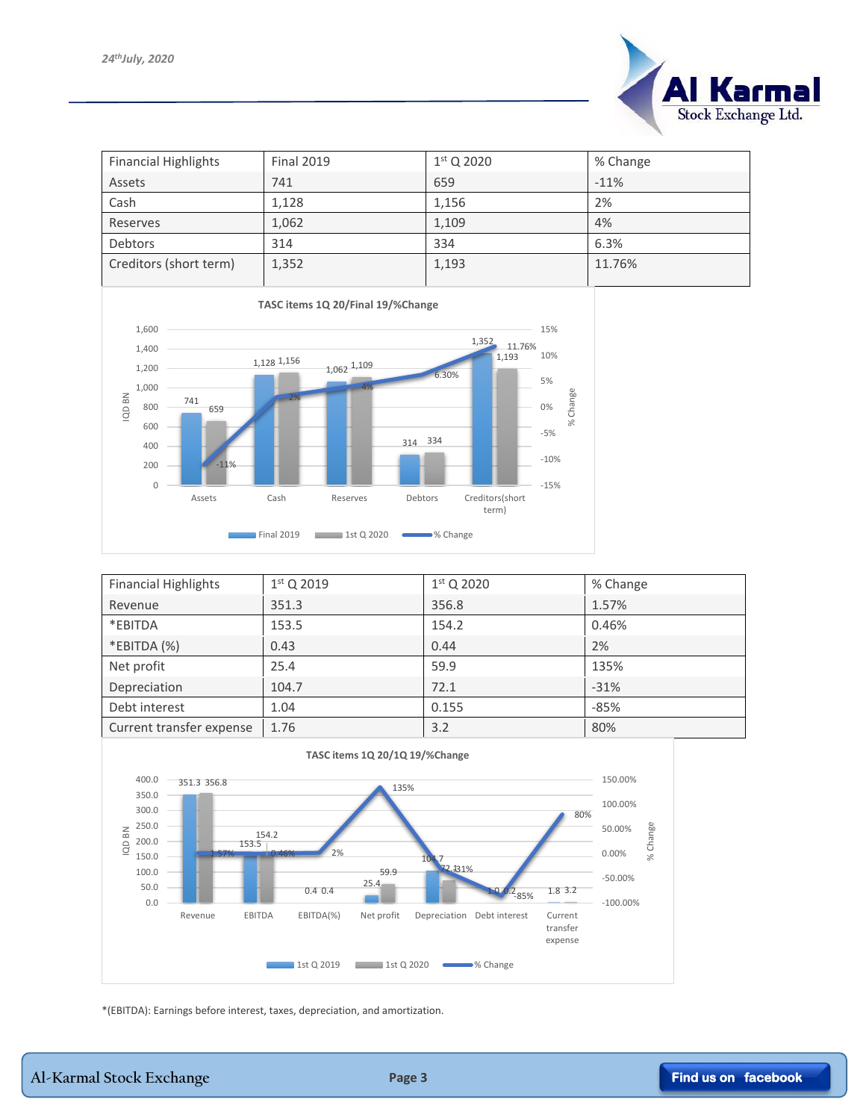

| <b>Financial Highlights</b> | <b>Final 2019</b> | $1st$ Q 2020 | % Change |
|-----------------------------|-------------------|--------------|----------|
| Assets                      | 741               | 659          | $-11%$   |
| Cash                        | 1,128             | 1,156        | 2%       |
| Reserves                    | 1,062             | 1,109        | 4%       |
| <b>Debtors</b>              | 314               | 334          | 6.3%     |
| Creditors (short term)      | 1,352             | 1,193        | 11.76%   |



| <b>Financial Highlights</b> | $1st$ Q 2019 | $1st$ Q 2020 | % Change |
|-----------------------------|--------------|--------------|----------|
| Revenue                     | 351.3        | 356.8        | 1.57%    |
| *EBITDA                     | 153.5        | 154.2        | 0.46%    |
| *EBITDA (%)                 | 0.43         | 0.44         | 2%       |
| Net profit                  | 25.4         | 59.9         | 135%     |
| Depreciation                | 104.7        | 72.1         | $-31%$   |
| Debt interest               | 1.04         | 0.155        | $-85%$   |
| Current transfer expense    | 1.76         | 3.2          | 80%      |



\*(EBITDA): Earnings before interest, taxes, depreciation, and amortization.